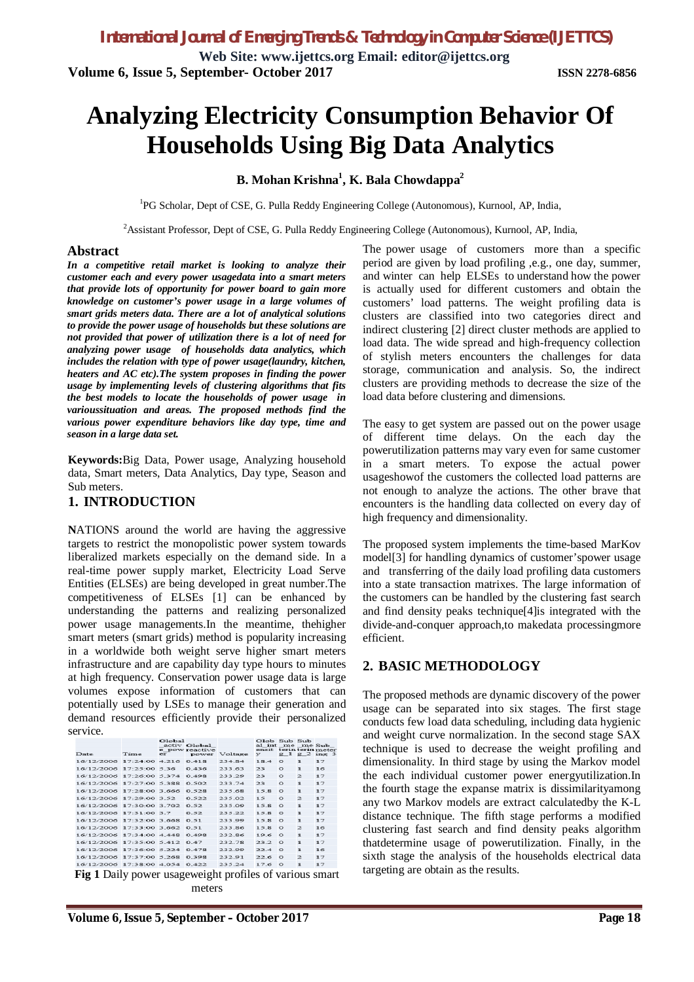**Web Site: www.ijettcs.org Email: editor@ijettcs.org Volume 6, Issue 5, September- October 2017 ISSN 2278-6856**

# **Analyzing Electricity Consumption Behavior Of Households Using Big Data Analytics**

## **B. Mohan Krishna<sup>1</sup> , K. Bala Chowdappa<sup>2</sup>**

<sup>1</sup>PG Scholar, Dept of CSE, G. Pulla Reddy Engineering College (Autonomous), Kurnool, AP, India,

<sup>2</sup>Assistant Professor, Dept of CSE, G. Pulla Reddy Engineering College (Autonomous), Kurnool, AP, India,

#### **Abstract**

*In a competitive retail market is looking to analyze their customer each and every power usagedata into a smart meters that provide lots of opportunity for power board to gain more knowledge on customer's power usage in a large volumes of smart grids meters data. There are a lot of analytical solutions to provide the power usage of households but these solutions are not provided that power of utilization there is a lot of need for analyzing power usage of households data analytics, which includes the relation with type of power usage(laundry, kitchen, heaters and AC etc).The system proposes in finding the power usage by implementing levels of clustering algorithms that fits the best models to locate the households of power usage in varioussituation and areas. The proposed methods find the various power expenditure behaviors like day type, time and season in a large data set.*

**Keywords:**Big Data, Power usage, Analyzing household data, Smart meters, Data Analytics, Day type, Season and Sub meters.

### **1. INTRODUCTION**

**N**ATIONS around the world are having the aggressive targets to restrict the monopolistic power system towards liberalized markets especially on the demand side. In a real-time power supply market, Electricity Load Serve Entities (ELSEs) are being developed in great number.The competitiveness of ELSEs [1] can be enhanced by understanding the patterns and realizing personalized power usage managements.In the meantime, thehigher smart meters (smart grids) method is popularity increasing in a worldwide both weight serve higher smart meters infrastructure and are capability day type hours to minutes at high frequency. Conservation power usage data is large volumes expose information of customers that can potentially used by LSEs to manage their generation and demand resources efficiently provide their personalized service.

| Date                            | Time | $C +  O $<br>$-1$ | activ Global<br>e pow reactive | power Voltage                                                                                                   | Glob Sub Sub<br>al int me me Sub<br>ensit terin terin meter<br>$\mathbf{v}$ |          |                | $g 1 g 2$ ing 3 |
|---------------------------------|------|-------------------|--------------------------------|-----------------------------------------------------------------------------------------------------------------|-----------------------------------------------------------------------------|----------|----------------|-----------------|
| 16/12/2006 17:24:00 4.216 0.418 |      |                   |                                | 234.84                                                                                                          | 18.4                                                                        | $\circ$  | $\mathbf{1}$   | 17              |
| 16/12/2006 17:25:00 5.36        |      |                   | 0.436                          | 233.63                                                                                                          | 23                                                                          | $\Omega$ | $\mathbf{I}$   | 16              |
| 16/12/2006 17:26:00 5:374       |      |                   | 0.498                          | 233.29                                                                                                          | 23                                                                          | $\Omega$ | $\mathcal{D}$  | 17              |
| 16/12/2006 17:27:00 5.388       |      |                   | 0.502                          | 233.74                                                                                                          | 23                                                                          | $\Omega$ | $\mathbf{I}$   | 17              |
| 16/12/2006 17:28:00 3.666       |      |                   | 0.528                          | 235.68                                                                                                          | 15.8                                                                        | $\circ$  | $\mathbf{I}$   | 17              |
| 16/12/2006 17:29:00 3:52        |      |                   | 0.522                          | 235.02                                                                                                          | 15                                                                          | $\Omega$ | $\Rightarrow$  | 17              |
| 16/12/2006 17:30:00 3 702       |      |                   | 0.52                           | 235.09                                                                                                          | 15R                                                                         | $\Omega$ | $\blacksquare$ | 17              |
| 16/12/2006 17:31:00 3.7         |      |                   | 0.52                           | 235.22                                                                                                          | 15.8                                                                        | $\circ$  | $\mathbf{1}$   | 17              |
| 16/12/2006 17:32:00 3.668 0.51  |      |                   |                                | 233.99                                                                                                          | 15.8                                                                        | $\circ$  | $\mathbf{1}$   | 17              |
| 16/12/2006 17:33:00 3:662 0:51  |      |                   |                                | 233.86                                                                                                          | $15R$ $\Omega$                                                              |          | $\Rightarrow$  | 16              |
| 16/12/2006 17:34:00 4 448 0 498 |      |                   |                                | 232.86                                                                                                          | 1960                                                                        |          | $\mathbf{I}$   | 17              |
| 16/12/2006 17:35:00 5:412 0:47  |      |                   |                                | 232.78                                                                                                          | 232.0                                                                       |          | $\blacksquare$ | 17              |
| 16/12/2006 17:36:00 5.224 0.478 |      |                   |                                | 232.99                                                                                                          | $22.4 \quad 0$                                                              |          | $\mathbf{1}$   | 16              |
| 16/12/2006 17:37:00 5.268 0.398 |      |                   |                                | 232.91                                                                                                          | $22.6$ 0                                                                    |          | $\Rightarrow$  | 17              |
| 16/12/2006 17:38:00 4.054 0.422 |      |                   |                                | 23524                                                                                                           | 1760                                                                        |          | $\mathbf{I}$   | 17              |
|                                 |      |                   |                                | the contract of the contract of the contract of the contract of the contract of the contract of the contract of |                                                                             | $\sim$   |                |                 |

**Fig 1** Daily power usageweight profiles of various smart meters

The power usage of customers more than a specific period are given by load profiling ,e.g., one day, summer, and winter can help ELSEs to understand how the power is actually used for different customers and obtain the customers' load patterns. The weight profiling data is clusters are classified into two categories direct and indirect clustering [2] direct cluster methods are applied to load data. The wide spread and high-frequency collection of stylish meters encounters the challenges for data storage, communication and analysis. So, the indirect clusters are providing methods to decrease the size of the load data before clustering and dimensions.

The easy to get system are passed out on the power usage of different time delays. On the each day the powerutilization patterns may vary even for same customer in a smart meters. To expose the actual power usageshowof the customers the collected load patterns are not enough to analyze the actions. The other brave that encounters is the handling data collected on every day of high frequency and dimensionality.

The proposed system implements the time-based MarKov model[3] for handling dynamics of customer'spower usage and transferring of the daily load profiling data customers into a state transaction matrixes. The large information of the customers can be handled by the clustering fast search and find density peaks technique[4]is integrated with the divide-and-conquer approach,to makedata processingmore efficient.

# **2. BASIC METHODOLOGY**

The proposed methods are dynamic discovery of the power usage can be separated into six stages. The first stage conducts few load data scheduling, including data hygienic and weight curve normalization. In the second stage SAX technique is used to decrease the weight profiling and dimensionality. In third stage by using the Markov model the each individual customer power energyutilization.In the fourth stage the expanse matrix is dissimilarityamong any two Markov models are extract calculatedby the K-L distance technique. The fifth stage performs a modified clustering fast search and find density peaks algorithm thatdetermine usage of powerutilization. Finally, in the sixth stage the analysis of the households electrical data targeting are obtain as the results.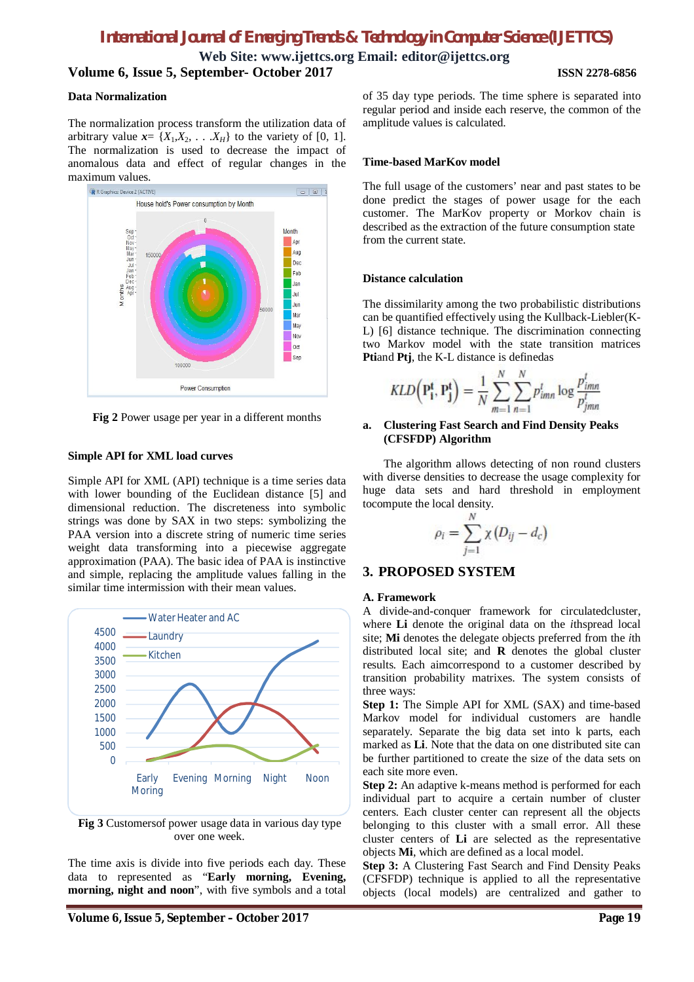**Web Site: www.ijettcs.org Email: editor@ijettcs.org Volume 6, Issue 5, September- October 2017 ISSN 2278-6856**

#### **Data Normalization**

The normalization process transform the utilization data of arbitrary value  $x = \{X_1, X_2, \ldots, X_H\}$  to the variety of [0, 1]. The normalization is used to decrease the impact of anomalous data and effect of regular changes in the maximum values.



**Fig 2** Power usage per year in a different months

#### **Simple API for XML load curves**

Simple API for XML (API) technique is a time series data with lower bounding of the Euclidean distance [5] and dimensional reduction. The discreteness into symbolic strings was done by SAX in two steps: symbolizing the PAA version into a discrete string of numeric time series weight data transforming into a piecewise aggregate approximation (PAA). The basic idea of PAA is instinctive and simple, replacing the amplitude values falling in the similar time intermission with their mean values.



**Fig 3** Customersof power usage data in various day type over one week.

The time axis is divide into five periods each day. These data to represented as "**Early morning, Evening, morning, night and noon**", with five symbols and a total of 35 day type periods. The time sphere is separated into regular period and inside each reserve, the common of the amplitude values is calculated.

#### **Time-based MarKov model**

The full usage of the customers' near and past states to be done predict the stages of power usage for the each customer. The MarKov property or Morkov chain is described as the extraction of the future consumption state from the current state.

#### **Distance calculation**

The dissimilarity among the two probabilistic distributions can be quantified effectively using the Kullback-Liebler(K-L) [6] distance technique. The discrimination connecting two Markov model with the state transition matrices **Pti**and **Ptj**, the K-L distance is definedas

$$
KLD\left(\mathbf{P_i^t}, \mathbf{P_j^t}\right) = \frac{1}{N} \sum_{m=1}^{N} \sum_{n=1}^{N} p_{imn}^t \log \frac{p_{imn}^t}{p_{jmn}^t}
$$

#### **a. Clustering Fast Search and Find Density Peaks (CFSFDP) Algorithm**

The algorithm allows detecting of non round clusters with diverse densities to decrease the usage complexity for huge data sets and hard threshold in employment tocompute the local density.

$$
\rho_i = \sum_{j=1}^N \chi(D_{ij} - d_c)
$$

# **3. PROPOSED SYSTEM**

#### **A. Framework**

A divide-and-conquer framework for circulatedcluster, where **Li** denote the original data on the *i*thspread local site; **Mi** denotes the delegate objects preferred from the *i*th distributed local site; and **R** denotes the global cluster results. Each aimcorrespond to a customer described by transition probability matrixes. The system consists of three ways:

**Step 1:** The Simple API for XML (SAX) and time-based Markov model for individual customers are handle separately. Separate the big data set into k parts, each marked as **Li**. Note that the data on one distributed site can be further partitioned to create the size of the data sets on each site more even.

**Step 2:** An adaptive k-means method is performed for each individual part to acquire a certain number of cluster centers. Each cluster center can represent all the objects belonging to this cluster with a small error. All these cluster centers of **Li** are selected as the representative objects **Mi**, which are defined as a local model.

**Step 3:** A Clustering Fast Search and Find Density Peaks (CFSFDP) technique is applied to all the representative objects (local models) are centralized and gather to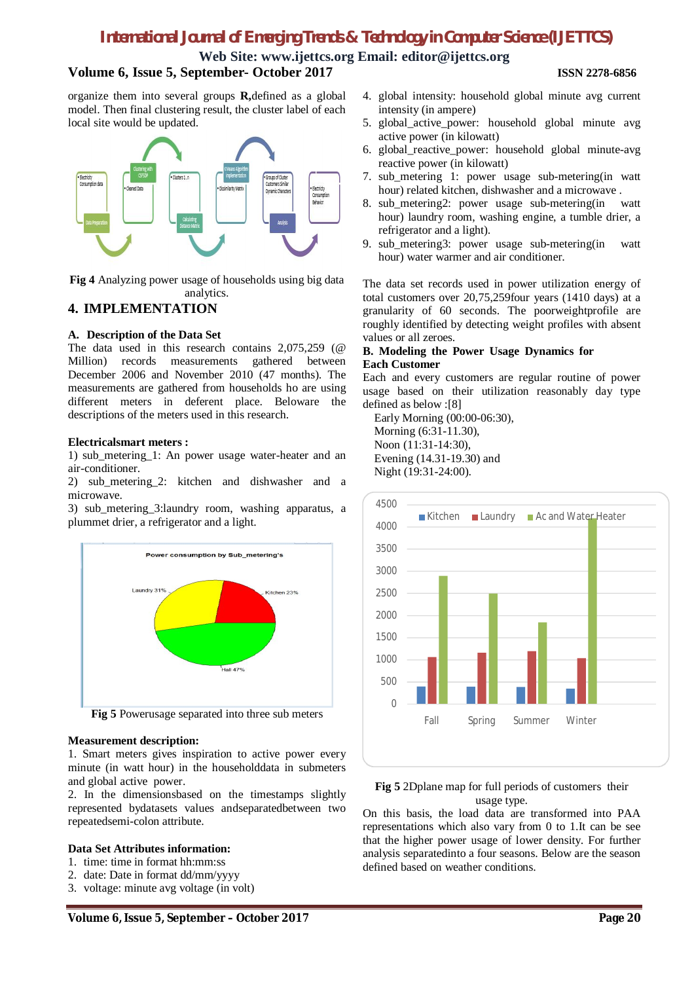**Web Site: www.ijettcs.org Email: editor@ijettcs.org**

#### **Volume 6, Issue 5, September- October 2017 ISSN 2278-6856**

organize them into several groups **R,**defined as a global model. Then final clustering result, the cluster label of each local site would be updated.



**Fig 4** Analyzing power usage of households using big data analytics.

# **4. IMPLEMENTATION**

#### **A. Description of the Data Set**

The data used in this research contains 2,075,259 (@ Million) records measurements gathered between December 2006 and November 2010 (47 months). The measurements are gathered from households ho are using different meters in deferent place. Beloware the descriptions of the meters used in this research.

#### **Electricalsmart meters :**

1) sub\_metering\_1: An power usage water-heater and an air-conditioner.

2) sub\_metering\_2: kitchen and dishwasher and a microwave.

3) sub\_metering\_3:laundry room, washing apparatus, a plummet drier, a refrigerator and a light.



# **Measurement description:**

1. Smart meters gives inspiration to active power every minute (in watt hour) in the householddata in submeters and global active power.

2. In the dimensionsbased on the timestamps slightly represented bydatasets values andseparatedbetween two repeatedsemi-colon attribute.

#### **Data Set Attributes information:**

- 1. time: time in format hh:mm:ss
- 2. date: Date in format dd/mm/yyyy
- 3. voltage: minute avg voltage (in volt)
- 4. global intensity: household global minute avg current intensity (in ampere)
- 5. global\_active\_power: household global minute avg active power (in kilowatt)
- 6. global\_reactive\_power: household global minute-avg reactive power (in kilowatt)
- 7. sub\_metering 1: power usage sub-metering(in watt hour) related kitchen, dishwasher and a microwave .
- 8. sub\_metering2: power usage sub-metering(in watt hour) laundry room, washing engine, a tumble drier, a refrigerator and a light).
- 9. sub\_metering3: power usage sub-metering(in watt hour) water warmer and air conditioner.

The data set records used in power utilization energy of total customers over 20,75,259four years (1410 days) at a granularity of 60 seconds. The poorweightprofile are roughly identified by detecting weight profiles with absent values or all zeroes.

#### **B. Modeling the Power Usage Dynamics for Each Customer**

Each and every customers are regular routine of power usage based on their utilization reasonably day type defined as below :[8]

Early Morning (00:00-06:30), Morning (6:31-11.30), Noon (11:31-14:30), Evening (14.31-19.30) and Night (19:31-24:00).



#### **Fig 5** 2Dplane map for full periods of customers their usage type.

On this basis, the load data are transformed into PAA representations which also vary from 0 to 1.It can be see that the higher power usage of lower density. For further analysis separatedinto a four seasons. Below are the season defined based on weather conditions.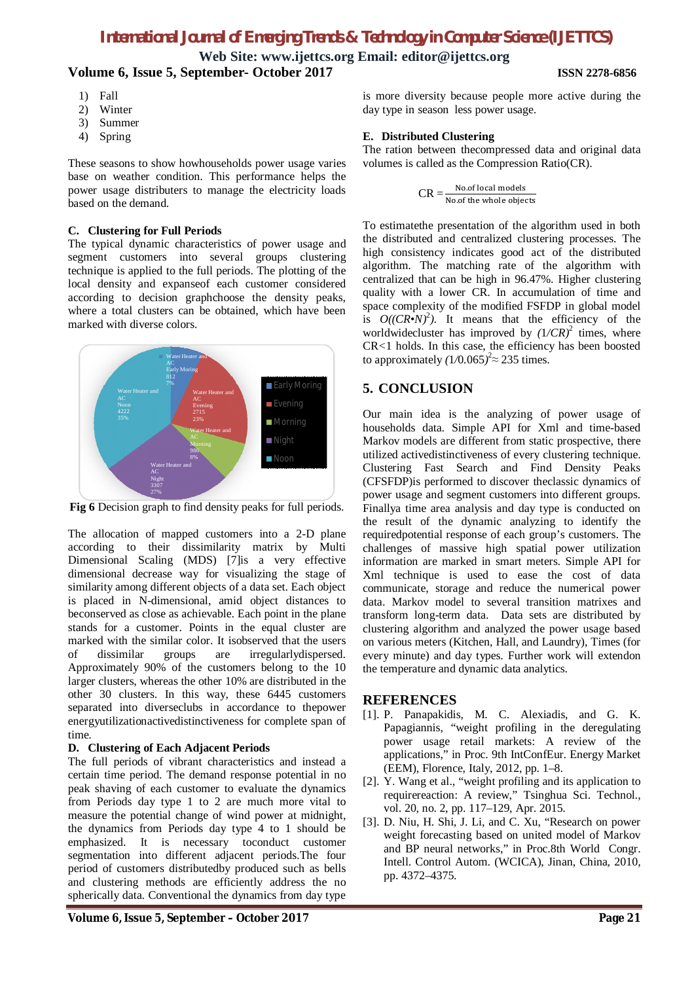**Web Site: www.ijettcs.org Email: editor@ijettcs.org Volume 6, Issue 5, September- October 2017 ISSN 2278-6856**

- 1) Fall
- 2) Winter
- 3) Summer
- 4) Spring

These seasons to show howhouseholds power usage varies base on weather condition. This performance helps the power usage distributers to manage the electricity loads based on the demand.

#### **C. Clustering for Full Periods**

The typical dynamic characteristics of power usage and segment customers into several groups clustering technique is applied to the full periods. The plotting of the local density and expanseof each customer considered according to decision graphchoose the density peaks, where a total clusters can be obtained, which have been marked with diverse colors.



**Fig 6** Decision graph to find density peaks for full periods.

The allocation of mapped customers into a 2-D plane according to their dissimilarity matrix by Multi Dimensional Scaling (MDS) [7]is a very effective dimensional decrease way for visualizing the stage of similarity among different objects of a data set. Each object is placed in N-dimensional, amid object distances to beconserved as close as achievable. Each point in the plane stands for a customer. Points in the equal cluster are marked with the similar color. It isobserved that the users of dissimilar groups are irregularlydispersed. Approximately 90% of the customers belong to the 10 larger clusters, whereas the other 10% are distributed in the other 30 clusters. In this way, these 6445 customers separated into diverseclubs in accordance to thepower energyutilizationactivedistinctiveness for complete span of time.

### **D. Clustering of Each Adjacent Periods**

The full periods of vibrant characteristics and instead a certain time period. The demand response potential in no peak shaving of each customer to evaluate the dynamics from Periods day type 1 to 2 are much more vital to measure the potential change of wind power at midnight, the dynamics from Periods day type 4 to 1 should be emphasized. It is necessary toconduct customer segmentation into different adjacent periods.The four period of customers distributedby produced such as bells and clustering methods are efficiently address the no spherically data. Conventional the dynamics from day type

is more diversity because people more active during the day type in season less power usage.

#### **E. Distributed Clustering**

The ration between thecompressed data and original data volumes is called as the Compression Ratio(CR).

$$
CR = \frac{\text{No. of local models}}{\text{No. of the whole objects}}
$$

To estimatethe presentation of the algorithm used in both the distributed and centralized clustering processes. The high consistency indicates good act of the distributed algorithm. The matching rate of the algorithm with centralized that can be high in 96.47%. Higher clustering quality with a lower CR. In accumulation of time and space complexity of the modified FSFDP in global model is  $O((CR \cdot N)^2)$ . It means that the efficiency of the worldwidecluster has improved by  $(1/CR)^2$  times, where CR*<*1 holds. In this case, the efficiency has been boosted to approximately  $(1/0.065)^2 \approx 235$  times.

# **5. CONCLUSION**

Our main idea is the analyzing of power usage of households data. Simple API for Xml and time-based Markov models are different from static prospective, there utilized activedistinctiveness of every clustering technique. Clustering Fast Search and Find Density Peaks (CFSFDP)is performed to discover theclassic dynamics of power usage and segment customers into different groups. Finallya time area analysis and day type is conducted on the result of the dynamic analyzing to identify the requiredpotential response of each group's customers. The challenges of massive high spatial power utilization information are marked in smart meters. Simple API for Xml technique is used to ease the cost of data communicate, storage and reduce the numerical power data. Markov model to several transition matrixes and transform long-term data. Data sets are distributed by clustering algorithm and analyzed the power usage based on various meters (Kitchen, Hall, and Laundry), Times (for every minute) and day types. Further work will extendon the temperature and dynamic data analytics.

### **REFERENCES**

- [1]. P. Panapakidis, M. C. Alexiadis, and G. K. Papagiannis, "weight profiling in the deregulating power usage retail markets: A review of the applications," in Proc. 9th IntConfEur. Energy Market (EEM), Florence, Italy, 2012, pp. 1–8.
- [2]. Y. Wang et al., "weight profiling and its application to requirereaction: A review," Tsinghua Sci. Technol., vol. 20, no. 2, pp. 117–129, Apr. 2015.
- [3]. D. Niu, H. Shi, J. Li, and C. Xu, "Research on power weight forecasting based on united model of Markov and BP neural networks," in Proc.8th World Congr. Intell. Control Autom. (WCICA), Jinan, China, 2010, pp. 4372–4375.